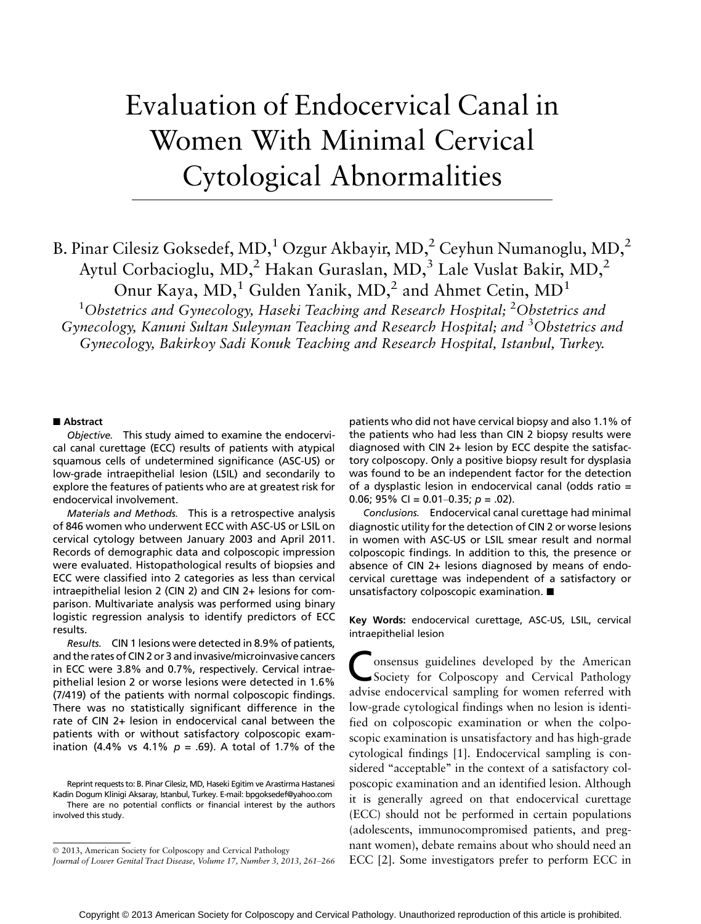# Evaluation of Endocervical Canal in Women With Minimal Cervical Cytological Abnormalities

# B. Pinar Cilesiz Goksedef, MD,<sup>1</sup> Ozgur Akbayir, MD,<sup>2</sup> Ceyhun Numanoglu, MD,<sup>2</sup> Aytul Corbacioglu, MD,<sup>2</sup> Hakan Guraslan, MD,<sup>3</sup> Lale Vuslat Bakir, MD,<sup>2</sup>

Onur Kaya,  $MD<sub>1</sub><sup>1</sup>$  Gulden Yanik,  $MD<sub>1</sub><sup>2</sup>$  and Ahmet Cetin,  $MD<sub>1</sub><sup>1</sup>$ 

 $^1$ Obstetrics and Gynecology, Haseki Teaching and Research Hospital;  $^2$ Obstetrics and

Gynecology, Kanuni Sultan Suleyman Teaching and Research Hospital; and <sup>3</sup>Obstetrics and Gynecology, Bakirkoy Sadi Konuk Teaching and Research Hospital, Istanbul, Turkey.

### ■ Abstract

Objective. This study aimed to examine the endocervical canal curettage (ECC) results of patients with atypical squamous cells of undetermined significance (ASC-US) or low-grade intraepithelial lesion (LSIL) and secondarily to explore the features of patients who are at greatest risk for endocervical involvement.

Materials and Methods. This is a retrospective analysis of 846 women who underwent ECC with ASC-US or LSIL on cervical cytology between January 2003 and April 2011. Records of demographic data and colposcopic impression were evaluated. Histopathological results of biopsies and ECC were classified into 2 categories as less than cervical intraepithelial lesion 2 (CIN 2) and CIN 2+ lesions for comparison. Multivariate analysis was performed using binary logistic regression analysis to identify predictors of ECC results.

Results. CIN 1 lesions were detected in 8.9% of patients, and the rates of CIN 2 or 3 and invasive/microinvasive cancers in ECC were 3.8% and 0.7%, respectively. Cervical intraepithelial lesion 2 or worse lesions were detected in 1.6% (7/419) of the patients with normal colposcopic findings. There was no statistically significant difference in the rate of CIN 2+ lesion in endocervical canal between the patients with or without satisfactory colposcopic examination (4.4% vs 4.1%  $p = .69$ ). A total of 1.7% of the

patients who did not have cervical biopsy and also 1.1% of the patients who had less than CIN 2 biopsy results were diagnosed with CIN 2+ lesion by ECC despite the satisfactory colposcopy. Only a positive biopsy result for dysplasia was found to be an independent factor for the detection of a dysplastic lesion in endocervical canal (odds ratio = 0.06; 95% CI = 0.01-0.35;  $p = .02$ ).

Conclusions. Endocervical canal curettage had minimal diagnostic utility for the detection of CIN 2 or worse lesions in women with ASC-US or LSIL smear result and normal colposcopic findings. In addition to this, the presence or absence of CIN 2+ lesions diagnosed by means of endocervical curettage was independent of a satisfactory or unsatisfactory colposcopic examination.  $\blacksquare$ 

Key Words: endocervical curettage, ASC-US, LSIL, cervical intraepithelial lesion

Consensus guidelines developed by the American Society for Colposcopy and Cervical Pathology advise endocervical sampling for women referred with low-grade cytological findings when no lesion is identified on colposcopic examination or when the colposcopic examination is unsatisfactory and has high-grade cytological findings [1]. Endocervical sampling is considered "acceptable" in the context of a satisfactory colposcopic examination and an identified lesion. Although it is generally agreed on that endocervical curettage (ECC) should not be performed in certain populations (adolescents, immunocompromised patients, and pregnant women), debate remains about who should need an ECC [2]. Some investigators prefer to perform ECC in

Reprint requests to: B. Pinar Cilesiz, MD, Haseki Egitim ve Arastirma Hastanesi Kadin Dogum Klinigi Aksaray, Istanbul, Turkey. E-mail: bpgoksedef@yahoo.com There are no potential conflicts or financial interest by the authors involved this study.

2013, American Society for Colposcopy and Cervical Pathology

Journal of Lower Genital Tract Disease, Volume 17, Number 3, 2013, 261-266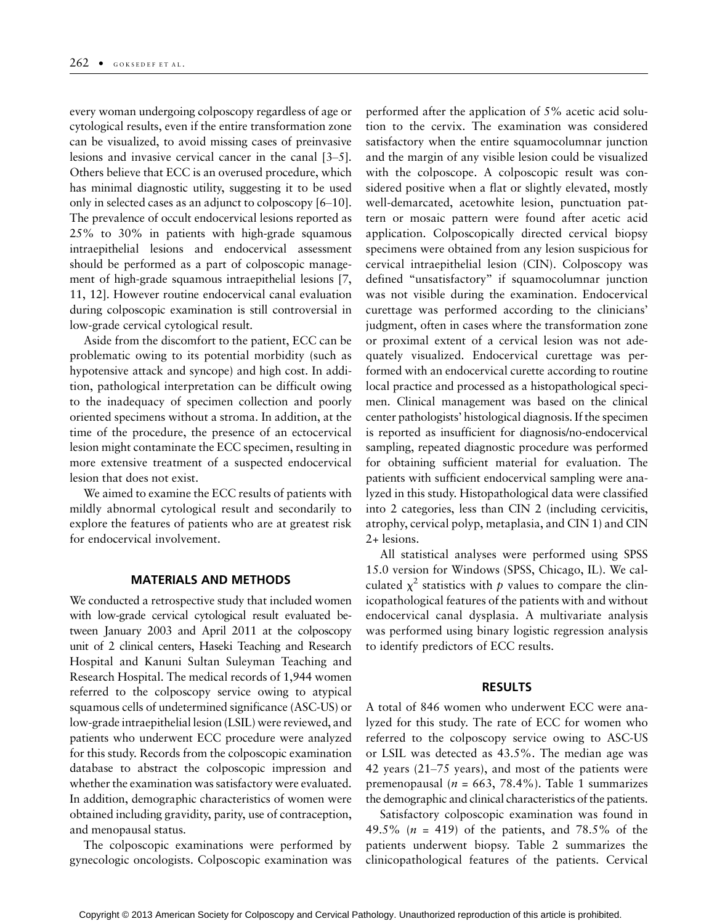every woman undergoing colposcopy regardless of age or cytological results, even if the entire transformation zone can be visualized, to avoid missing cases of preinvasive lesions and invasive cervical cancer in the canal  $[3-5]$ . Others believe that ECC is an overused procedure, which has minimal diagnostic utility, suggesting it to be used only in selected cases as an adjunct to colposcopy  $[6-10]$ . The prevalence of occult endocervical lesions reported as 25% to 30% in patients with high-grade squamous intraepithelial lesions and endocervical assessment should be performed as a part of colposcopic management of high-grade squamous intraepithelial lesions [7, 11, 12]. However routine endocervical canal evaluation during colposcopic examination is still controversial in low-grade cervical cytological result.

Aside from the discomfort to the patient, ECC can be problematic owing to its potential morbidity (such as hypotensive attack and syncope) and high cost. In addition, pathological interpretation can be difficult owing to the inadequacy of specimen collection and poorly oriented specimens without a stroma. In addition, at the time of the procedure, the presence of an ectocervical lesion might contaminate the ECC specimen, resulting in more extensive treatment of a suspected endocervical lesion that does not exist.

We aimed to examine the ECC results of patients with mildly abnormal cytological result and secondarily to explore the features of patients who are at greatest risk for endocervical involvement.

# MATERIALS AND METHODS

We conducted a retrospective study that included women with low-grade cervical cytological result evaluated between January 2003 and April 2011 at the colposcopy unit of 2 clinical centers, Haseki Teaching and Research Hospital and Kanuni Sultan Suleyman Teaching and Research Hospital. The medical records of 1,944 women referred to the colposcopy service owing to atypical squamous cells of undetermined significance (ASC-US) or low-grade intraepithelial lesion (LSIL) were reviewed, and patients who underwent ECC procedure were analyzed for this study. Records from the colposcopic examination database to abstract the colposcopic impression and whether the examination was satisfactory were evaluated. In addition, demographic characteristics of women were obtained including gravidity, parity, use of contraception, and menopausal status.

The colposcopic examinations were performed by gynecologic oncologists. Colposcopic examination was

performed after the application of 5% acetic acid solution to the cervix. The examination was considered satisfactory when the entire squamocolumnar junction and the margin of any visible lesion could be visualized with the colposcope. A colposcopic result was considered positive when a flat or slightly elevated, mostly well-demarcated, acetowhite lesion, punctuation pattern or mosaic pattern were found after acetic acid application. Colposcopically directed cervical biopsy specimens were obtained from any lesion suspicious for cervical intraepithelial lesion (CIN). Colposcopy was defined ''unsatisfactory'' if squamocolumnar junction was not visible during the examination. Endocervical curettage was performed according to the clinicians' judgment, often in cases where the transformation zone or proximal extent of a cervical lesion was not adequately visualized. Endocervical curettage was performed with an endocervical curette according to routine local practice and processed as a histopathological specimen. Clinical management was based on the clinical center pathologists' histological diagnosis. If the specimen is reported as insufficient for diagnosis/no-endocervical sampling, repeated diagnostic procedure was performed for obtaining sufficient material for evaluation. The patients with sufficient endocervical sampling were analyzed in this study. Histopathological data were classified into 2 categories, less than CIN 2 (including cervicitis, atrophy, cervical polyp, metaplasia, and CIN 1) and CIN 2+ lesions.

All statistical analyses were performed using SPSS 15.0 version for Windows (SPSS, Chicago, IL). We calculated  $\chi^2$  statistics with p values to compare the clinicopathological features of the patients with and without endocervical canal dysplasia. A multivariate analysis was performed using binary logistic regression analysis to identify predictors of ECC results.

## RESULTS

A total of 846 women who underwent ECC were analyzed for this study. The rate of ECC for women who referred to the colposcopy service owing to ASC-US or LSIL was detected as 43.5%. The median age was 42 years  $(21-75 \text{ years})$ , and most of the patients were premenopausal ( $n = 663, 78.4\%$ ). Table 1 summarizes the demographic and clinical characteristics of the patients.

Satisfactory colposcopic examination was found in 49.5% ( $n = 419$ ) of the patients, and 78.5% of the patients underwent biopsy. Table 2 summarizes the clinicopathological features of the patients. Cervical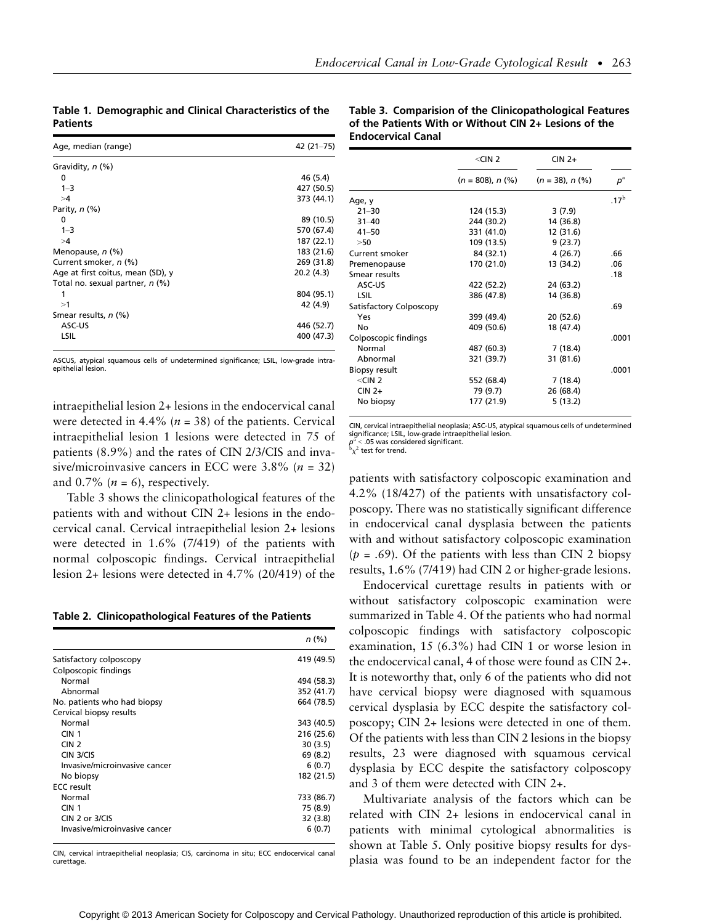Table 1. Demographic and Clinical Characteristics of the **Patients** 

| Age, median (range)               | $42(21-75)$ |
|-----------------------------------|-------------|
| Gravidity, n (%)                  |             |
| 0                                 | 46 (5.4)    |
| $1 - 3$                           | 427 (50.5)  |
| >4                                | 373 (44.1)  |
| Parity, $n$ (%)                   |             |
| 0                                 | 89 (10.5)   |
| $1 - 3$                           | 570 (67.4)  |
| >4                                | 187 (22.1)  |
| Menopause, n (%)                  | 183 (21.6)  |
| Current smoker, n (%)             | 269 (31.8)  |
| Age at first coitus, mean (SD), y | 20.2(4.3)   |
| Total no. sexual partner, n (%)   |             |
| 1                                 | 804 (95.1)  |
| >1                                | 42 (4.9)    |
| Smear results, n (%)              |             |
| ASC-US                            | 446 (52.7)  |
| LSIL                              | 400 (47.3)  |

ASCUS, atypical squamous cells of undetermined significance; LSIL, low-grade intraepithelial lesion.

intraepithelial lesion 2+ lesions in the endocervical canal were detected in 4.4% ( $n = 38$ ) of the patients. Cervical intraepithelial lesion 1 lesions were detected in 75 of patients (8.9%) and the rates of CIN 2/3/CIS and invasive/microinvasive cancers in ECC were  $3.8\%$  ( $n = 32$ ) and 0.7% ( $n = 6$ ), respectively.

Table 3 shows the clinicopathological features of the patients with and without CIN 2+ lesions in the endocervical canal. Cervical intraepithelial lesion 2+ lesions were detected in 1.6% (7/419) of the patients with normal colposcopic findings. Cervical intraepithelial lesion 2+ lesions were detected in 4.7% (20/419) of the

Table 2. Clinicopathological Features of the Patients

|                               | n (%)      |
|-------------------------------|------------|
| Satisfactory colposcopy       | 419 (49.5) |
| Colposcopic findings          |            |
| Normal                        | 494 (58.3) |
| Abnormal                      | 352 (41.7) |
| No. patients who had biopsy   | 664 (78.5) |
| Cervical biopsy results       |            |
| Normal                        | 343 (40.5) |
| CIN <sub>1</sub>              | 216 (25.6) |
| CIN <sub>2</sub>              | 30(3.5)    |
| CIN 3/CIS                     | 69 (8.2)   |
| Invasive/microinvasive cancer | 6(0.7)     |
| No biopsy                     | 182 (21.5) |
| <b>ECC</b> result             |            |
| Normal                        | 733 (86.7) |
| CIN <sub>1</sub>              | 75 (8.9)   |
| CIN 2 or 3/CIS                | 32 (3.8)   |
| Invasive/microinvasive cancer | 6(0.7)     |

CIN, cervical intraepithelial neoplasia; CIS, carcinoma in situ; ECC endocervical canal curettage.

Table 3. Comparision of the Clinicopathological Features of the Patients With or Without CIN 2+ Lesions of the Endocervical Canal

|                         | $<$ CIN 2              | $CIN$ 2+              |             |
|-------------------------|------------------------|-----------------------|-------------|
|                         | $(n = 808)$ , n $(\%)$ | $(n = 38)$ , n $(\%)$ | $p^{\rm a}$ |
| Age, y                  |                        |                       | $.17^{b}$   |
| $21 - 30$               | 124 (15.3)             | 3(7.9)                |             |
| $31 - 40$               | 244 (30.2)             | 14 (36.8)             |             |
| $41 - 50$               | 331 (41.0)             | 12 (31.6)             |             |
| >50                     | 109 (13.5)             | 9(23.7)               |             |
| Current smoker          | 84 (32.1)              | 4 (26.7)              | .66         |
| Premenopause            | 170 (21.0)             | 13 (34.2)             | .06         |
| Smear results           |                        |                       | .18         |
| ASC-US                  | 422 (52.2)             | 24 (63.2)             |             |
| LSIL                    | 386 (47.8)             | 14 (36.8)             |             |
| Satisfactory Colposcopy |                        |                       | .69         |
| Yes                     | 399 (49.4)             | 20 (52.6)             |             |
| No                      | 409 (50.6)             | 18 (47.4)             |             |
| Colposcopic findings    |                        |                       | .0001       |
| Normal                  | 487 (60.3)             | 7(18.4)               |             |
| Abnormal                | 321 (39.7)             | 31 (81.6)             |             |
| <b>Biopsy result</b>    |                        |                       | .0001       |
| $<$ CIN 2               | 552 (68.4)             | 7(18.4)               |             |
| $CIN 2+$                | 79 (9.7)               | 26 (68.4)             |             |
| No biopsy               | 177 (21.9)             | 5 (13.2)              |             |

CIN, cervical intraepithelial neoplasia; ASC-US, atypical squamous cells of undetermined significance; LSIL, low-grade intraepithelial lesion.

 $<$  .05 was considered significant.

 $y^2$  test for trend.

patients with satisfactory colposcopic examination and 4.2% (18/427) of the patients with unsatisfactory colposcopy. There was no statistically significant difference in endocervical canal dysplasia between the patients with and without satisfactory colposcopic examination  $(p = .69)$ . Of the patients with less than CIN 2 biopsy results, 1.6% (7/419) had CIN 2 or higher-grade lesions.

Endocervical curettage results in patients with or without satisfactory colposcopic examination were summarized in Table 4. Of the patients who had normal colposcopic findings with satisfactory colposcopic examination, 15 (6.3%) had CIN 1 or worse lesion in the endocervical canal, 4 of those were found as CIN 2+. It is noteworthy that, only 6 of the patients who did not have cervical biopsy were diagnosed with squamous cervical dysplasia by ECC despite the satisfactory colposcopy; CIN 2+ lesions were detected in one of them. Of the patients with less than CIN 2 lesions in the biopsy results, 23 were diagnosed with squamous cervical dysplasia by ECC despite the satisfactory colposcopy and 3 of them were detected with CIN 2+.

Multivariate analysis of the factors which can be related with CIN 2+ lesions in endocervical canal in patients with minimal cytological abnormalities is shown at Table 5. Only positive biopsy results for dysplasia was found to be an independent factor for the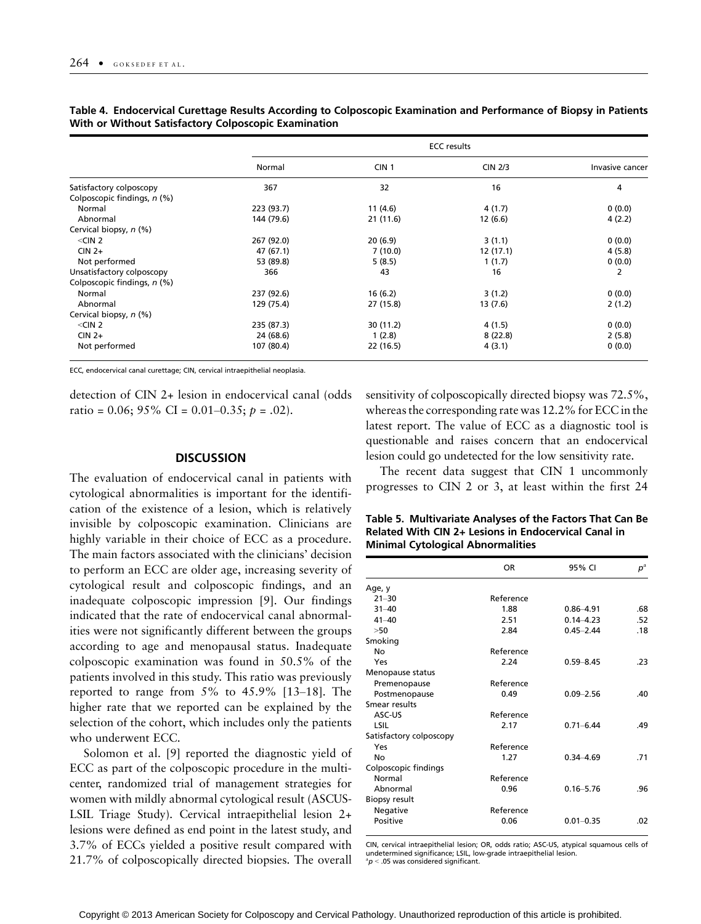|                             | <b>ECC</b> results |                  |                |                 |
|-----------------------------|--------------------|------------------|----------------|-----------------|
|                             | Normal             | CIN <sub>1</sub> | <b>CIN 2/3</b> | Invasive cancer |
| Satisfactory colposcopy     | 367                | 32               | 16             | 4               |
| Colposcopic findings, n (%) |                    |                  |                |                 |
| Normal                      | 223 (93.7)         | 11(4.6)          | 4(1.7)         | 0(0.0)          |
| Abnormal                    | 144 (79.6)         | 21 (11.6)        | 12(6.6)        | 4(2.2)          |
| Cervical biopsy, n (%)      |                    |                  |                |                 |
| $<$ CIN 2                   | 267 (92.0)         | 20(6.9)          | 3(1.1)         | 0(0.0)          |
| $CIN 2+$                    | 47 (67.1)          | 7(10.0)          | 12(17.1)       | 4(5.8)          |
| Not performed               | 53 (89.8)          | 5(8.5)           | 1(1.7)         | 0(0.0)          |
| Unsatisfactory colposcopy   | 366                | 43               | 16             | $\overline{2}$  |
| Colposcopic findings, n (%) |                    |                  |                |                 |
| Normal                      | 237 (92.6)         | 16(6.2)          | 3(1.2)         | 0(0.0)          |
| Abnormal                    | 129 (75.4)         | 27 (15.8)        | 13 (7.6)       | 2(1.2)          |
| Cervical biopsy, n (%)      |                    |                  |                |                 |
| $<$ CIN 2                   | 235 (87.3)         | 30 (11.2)        | 4(1.5)         | 0(0.0)          |
| $CIN 2+$                    | 24 (68.6)          | 1(2.8)           | 8(22.8)        | 2(5.8)          |
| Not performed               | 107 (80.4)         | 22 (16.5)        | 4(3.1)         | 0(0.0)          |

Table 4. Endocervical Curettage Results According to Colposcopic Examination and Performance of Biopsy in Patients With or Without Satisfactory Colposcopic Examination

ECC, endocervical canal curettage; CIN, cervical intraepithelial neoplasia.

detection of CIN 2+ lesion in endocervical canal (odds ratio =  $0.06$ ;  $95\%$  CI =  $0.01-0.35$ ;  $p = .02$ ).

#### **DISCUSSION**

The evaluation of endocervical canal in patients with cytological abnormalities is important for the identification of the existence of a lesion, which is relatively invisible by colposcopic examination. Clinicians are highly variable in their choice of ECC as a procedure. The main factors associated with the clinicians' decision to perform an ECC are older age, increasing severity of cytological result and colposcopic findings, and an inadequate colposcopic impression [9]. Our findings indicated that the rate of endocervical canal abnormalities were not significantly different between the groups according to age and menopausal status. Inadequate colposcopic examination was found in 50.5% of the patients involved in this study. This ratio was previously reported to range from  $5\%$  to  $45.9\%$  [13-18]. The higher rate that we reported can be explained by the selection of the cohort, which includes only the patients who underwent ECC.

Solomon et al. [9] reported the diagnostic yield of ECC as part of the colposcopic procedure in the multicenter, randomized trial of management strategies for women with mildly abnormal cytological result (ASCUS-LSIL Triage Study). Cervical intraepithelial lesion 2+ lesions were defined as end point in the latest study, and 3.7% of ECCs yielded a positive result compared with 21.7% of colposcopically directed biopsies. The overall sensitivity of colposcopically directed biopsy was 72.5%, whereas the corresponding rate was 12.2% for ECC in the latest report. The value of ECC as a diagnostic tool is questionable and raises concern that an endocervical lesion could go undetected for the low sensitivity rate.

The recent data suggest that CIN 1 uncommonly progresses to CIN 2 or 3, at least within the first 24

| Table 5. Multivariate Analyses of the Factors That Can Be   |  |
|-------------------------------------------------------------|--|
| <b>Related With CIN 2+ Lesions in Endocervical Canal in</b> |  |
| <b>Minimal Cytological Abnormalities</b>                    |  |

|                         | <b>OR</b> | 95% CI        | $\boldsymbol{p}^{\rm a}$ |
|-------------------------|-----------|---------------|--------------------------|
| Age, y                  |           |               |                          |
| $21 - 30$               | Reference |               |                          |
| $31 - 40$               | 1.88      | $0.86 - 4.91$ | .68                      |
| $41 - 40$               | 2.51      | $0.14 - 4.23$ | .52                      |
| >50                     | 2.84      | $0.45 - 2.44$ | .18                      |
| Smoking                 |           |               |                          |
| No                      | Reference |               |                          |
| Yes                     | 2.24      | $0.59 - 8.45$ | .23                      |
| Menopause status        |           |               |                          |
| Premenopause            | Reference |               |                          |
| Postmenopause           | 0.49      | $0.09 - 2.56$ | .40                      |
| Smear results           |           |               |                          |
| ASC-US                  | Reference |               |                          |
| <b>LSIL</b>             | 2.17      | $0.71 - 6.44$ | .49                      |
| Satisfactory colposcopy |           |               |                          |
| Yes                     | Reference |               |                          |
| No                      | 1.27      | $0.34 - 4.69$ | .71                      |
| Colposcopic findings    |           |               |                          |
| Normal                  | Reference |               |                          |
| Abnormal                | 0.96      | $0.16 - 5.76$ | .96                      |
| <b>Biopsy result</b>    |           |               |                          |
| Negative                | Reference |               |                          |
| Positive                | 0.06      | $0.01 - 0.35$ | .02                      |

CIN, cervical intraepithelial lesion; OR, odds ratio; ASC-US, atypical squamous cells of undetermined significance; LSIL, low-grade intraepithelial lesion.  ${}^{\rm a}p$  < .05 was considered significant.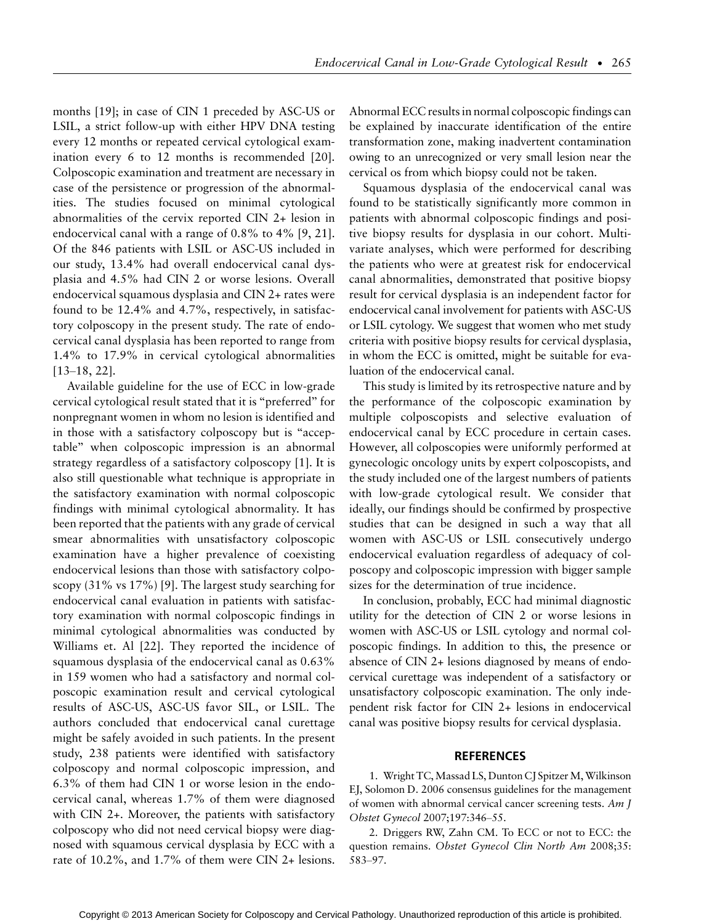months [19]; in case of CIN 1 preceded by ASC-US or LSIL, a strict follow-up with either HPV DNA testing every 12 months or repeated cervical cytological examination every 6 to 12 months is recommended [20]. Colposcopic examination and treatment are necessary in case of the persistence or progression of the abnormalities. The studies focused on minimal cytological abnormalities of the cervix reported CIN 2+ lesion in endocervical canal with a range of 0.8% to 4% [9, 21]. Of the 846 patients with LSIL or ASC-US included in our study, 13.4% had overall endocervical canal dysplasia and 4.5% had CIN 2 or worse lesions. Overall endocervical squamous dysplasia and CIN 2+ rates were found to be 12.4% and 4.7%, respectively, in satisfactory colposcopy in the present study. The rate of endocervical canal dysplasia has been reported to range from 1.4% to 17.9% in cervical cytological abnormalities  $[13-18, 22]$ .

Available guideline for the use of ECC in low-grade cervical cytological result stated that it is ''preferred'' for nonpregnant women in whom no lesion is identified and in those with a satisfactory colposcopy but is "acceptable'' when colposcopic impression is an abnormal strategy regardless of a satisfactory colposcopy [1]. It is also still questionable what technique is appropriate in the satisfactory examination with normal colposcopic findings with minimal cytological abnormality. It has been reported that the patients with any grade of cervical smear abnormalities with unsatisfactory colposcopic examination have a higher prevalence of coexisting endocervical lesions than those with satisfactory colposcopy (31% vs 17%) [9]. The largest study searching for endocervical canal evaluation in patients with satisfactory examination with normal colposcopic findings in minimal cytological abnormalities was conducted by Williams et. Al [22]. They reported the incidence of squamous dysplasia of the endocervical canal as 0.63% in 159 women who had a satisfactory and normal colposcopic examination result and cervical cytological results of ASC-US, ASC-US favor SIL, or LSIL. The authors concluded that endocervical canal curettage might be safely avoided in such patients. In the present study, 238 patients were identified with satisfactory colposcopy and normal colposcopic impression, and 6.3% of them had CIN 1 or worse lesion in the endocervical canal, whereas 1.7% of them were diagnosed with CIN 2+. Moreover, the patients with satisfactory colposcopy who did not need cervical biopsy were diagnosed with squamous cervical dysplasia by ECC with a rate of 10.2%, and 1.7% of them were CIN 2+ lesions.

Abnormal ECC results in normal colposcopic findings can be explained by inaccurate identification of the entire transformation zone, making inadvertent contamination owing to an unrecognized or very small lesion near the cervical os from which biopsy could not be taken.

Squamous dysplasia of the endocervical canal was found to be statistically significantly more common in patients with abnormal colposcopic findings and positive biopsy results for dysplasia in our cohort. Multivariate analyses, which were performed for describing the patients who were at greatest risk for endocervical canal abnormalities, demonstrated that positive biopsy result for cervical dysplasia is an independent factor for endocervical canal involvement for patients with ASC-US or LSIL cytology. We suggest that women who met study criteria with positive biopsy results for cervical dysplasia, in whom the ECC is omitted, might be suitable for evaluation of the endocervical canal.

This study is limited by its retrospective nature and by the performance of the colposcopic examination by multiple colposcopists and selective evaluation of endocervical canal by ECC procedure in certain cases. However, all colposcopies were uniformly performed at gynecologic oncology units by expert colposcopists, and the study included one of the largest numbers of patients with low-grade cytological result. We consider that ideally, our findings should be confirmed by prospective studies that can be designed in such a way that all women with ASC-US or LSIL consecutively undergo endocervical evaluation regardless of adequacy of colposcopy and colposcopic impression with bigger sample sizes for the determination of true incidence.

In conclusion, probably, ECC had minimal diagnostic utility for the detection of CIN 2 or worse lesions in women with ASC-US or LSIL cytology and normal colposcopic findings. In addition to this, the presence or absence of CIN 2+ lesions diagnosed by means of endocervical curettage was independent of a satisfactory or unsatisfactory colposcopic examination. The only independent risk factor for CIN 2+ lesions in endocervical canal was positive biopsy results for cervical dysplasia.

#### **REFERENCES**

1. Wright TC, Massad LS, Dunton CJ Spitzer M, Wilkinson EJ, Solomon D. 2006 consensus guidelines for the management of women with abnormal cervical cancer screening tests. Am J Obstet Gynecol 2007;197:346-55.

2. Driggers RW, Zahn CM. To ECC or not to ECC: the question remains. Obstet Gynecol Clin North Am 2008;35: 583-97.